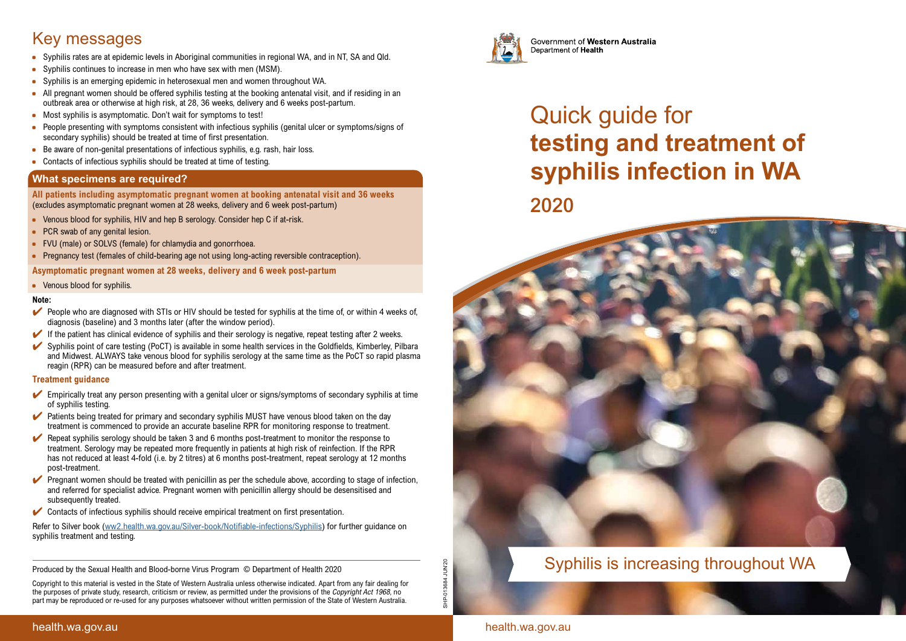



Government of Western Australia Department of Health

## Quick guide for **testing and treatment of syphilis infection in WA** 2020



Produced by the Sexual Health and Blood-borne Virus Program © Department of Health 2020<br>
Copyright to this material is vested in the State of Western Australia unless otherwise indicated. Apart from any fair dealing for<br>
t Copyright to this material is vested in the State of Western Australia unless otherwise indicated. Apart from any fair dealing for the purposes of private study, research, criticism or review, as permitted under the provisions of the Copyright Act 1968, no part may be reproduced or re-used for any purposes whatsoever without written permission of the State of Western Australia.

#### health.wa.gov.au

### Key messages

- Syphilis rates are at epidemic levels in Aboriginal communities in regional WA, and in NT, SA and Qld.
- Syphilis continues to increase in men who have sex with men (MSM).
- Syphilis is an emerging epidemic in heterosexual men and women throughout WA.
- All pregnant women should be offered syphilis testing at the booking antenatal visit, and if residing in an outbreak area or otherwise at high risk, at 28, 36 weeks, delivery and 6 weeks post-partum.
- Most syphilis is asymptomatic. Don't wait for symptoms to test!
- People presenting with symptoms consistent with infectious syphilis (genital ulcer or symptoms/signs of secondary syphilis) should be treated at time of first presentation.
- Be aware of non-genital presentations of infectious syphilis, e.g. rash, hair loss.
- Contacts of infectious syphilis should be treated at time of testing.

Refer to Silver book (ww2.health.wa.gov.au/Silver-book/Notifiable-infections/Syphilis) for further guidance on syphilis treatment and testing.

#### **Treatment guidance**

- $\blacktriangleright$  Empirically treat any person presenting with a genital ulcer or signs/symptoms of secondary syphilis at time of syphilis testing.
- 4 Patients being treated for primary and secondary syphilis MUST have venous blood taken on the day treatment is commenced to provide an accurate baseline RPR for monitoring response to treatment.
- $\blacktriangleright$  Repeat syphilis serology should be taken 3 and 6 months post-treatment to monitor the response to treatment. Serology may be repeated more frequently in patients at high risk of reinfection. If the RPR has not reduced at least 4-fold (i.e. by 2 titres) at 6 months post-treatment, repeat serology at 12 months post-treatment.
- Pregnant women should be treated with penicillin as per the schedule above, according to stage of infection, and referred for specialist advice. Pregnant women with penicillin allergy should be desensitised and subsequently treated.
- $\blacktriangleright$  Contacts of infectious syphilis should receive empirical treatment on first presentation.
- Venous blood for syphilis, HIV and hep B serology. Consider hep C if at-risk.
- **PCR swab of any genital lesion.**
- FVU (male) or SOLVS (female) for chlamydia and gonorrhoea.
- \* Pregnancy test (females of child-bearing age not using long-acting reversible contraception).

- People who are diagnosed with STIs or HIV should be tested for syphilis at the time of, or within 4 weeks of, diagnosis (baseline) and 3 months later (after the window period).
- $\blacktriangleright$  If the patient has clinical evidence of syphilis and their serology is negative, repeat testing after 2 weeks.
- 4 Syphilis point of care testing (PoCT) is available in some health services in the Goldfields, Kimberley, Pilbara and Midwest. ALWAYS take venous blood for syphilis serology at the same time as the PoCT so rapid plasma reagin (RPR) can be measured before and after treatment.

#### **What specimens are required?**

#### **All patients including asymptomatic pregnant women at booking antenatal visit and 36 weeks** (excludes asymptomatic pregnant women at 28 weeks, delivery and 6 week post-partum)

#### **Asymptomatic pregnant women at 28 weeks, delivery and 6 week post-partum**

• Venous blood for syphilis.

#### **Note:**